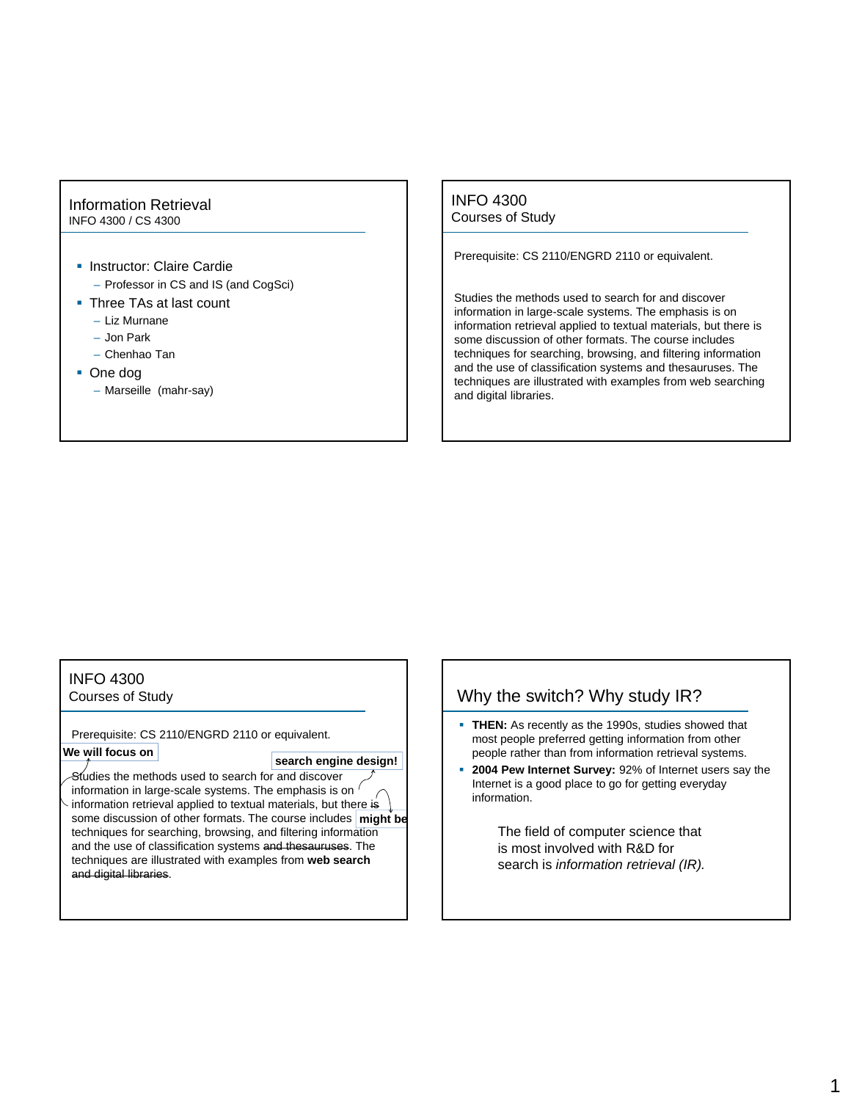#### Information Retrieval INFO 4300 / CS 4300

- **Instructor: Claire Cardie** 
	- Professor in CS and IS (and CogSci)
- **Three TAs at last count** 
	- Liz Murnane
	- Jon Park
	- Chenhao Tan
- One dog
	- Marseille (mahr-say)

INFO 4300 Courses of Study

Prerequisite: CS 2110/ENGRD 2110 or equivalent.

Studies the methods used to search for and discover information in large-scale systems. The emphasis is on information retrieval applied to textual materials, but there is some discussion of other formats. The course includes techniques for searching, browsing, and filtering information and the use of classification systems and thesauruses. The techniques are illustrated with examples from web searching and digital libraries.

#### INFO 4300

Courses of Study

Prerequisite: CS 2110/ENGRD 2110 or equivalent. **We will focus on**

#### **search engine design!**

Studies the methods used to search for and discover information in large-scale systems. The emphasis is on ' information retrieval applied to textual materials, but there is some discussion of other formats. The course includes **might be** techniques for searching, browsing, and filtering information and the use of classification systems and thesauruses. The techniques are illustrated with examples from **web search**  and digital libraries.

#### Why the switch? Why study IR?

- **THEN:** As recently as the 1990s, studies showed that most people preferred getting information from other people rather than from information retrieval systems.
- **2004 Pew Internet Survey:** 92% of Internet users say the Internet is a good place to go for getting everyday information.

The field of computer science that is most involved with R&D for search is *information retrieval (IR).*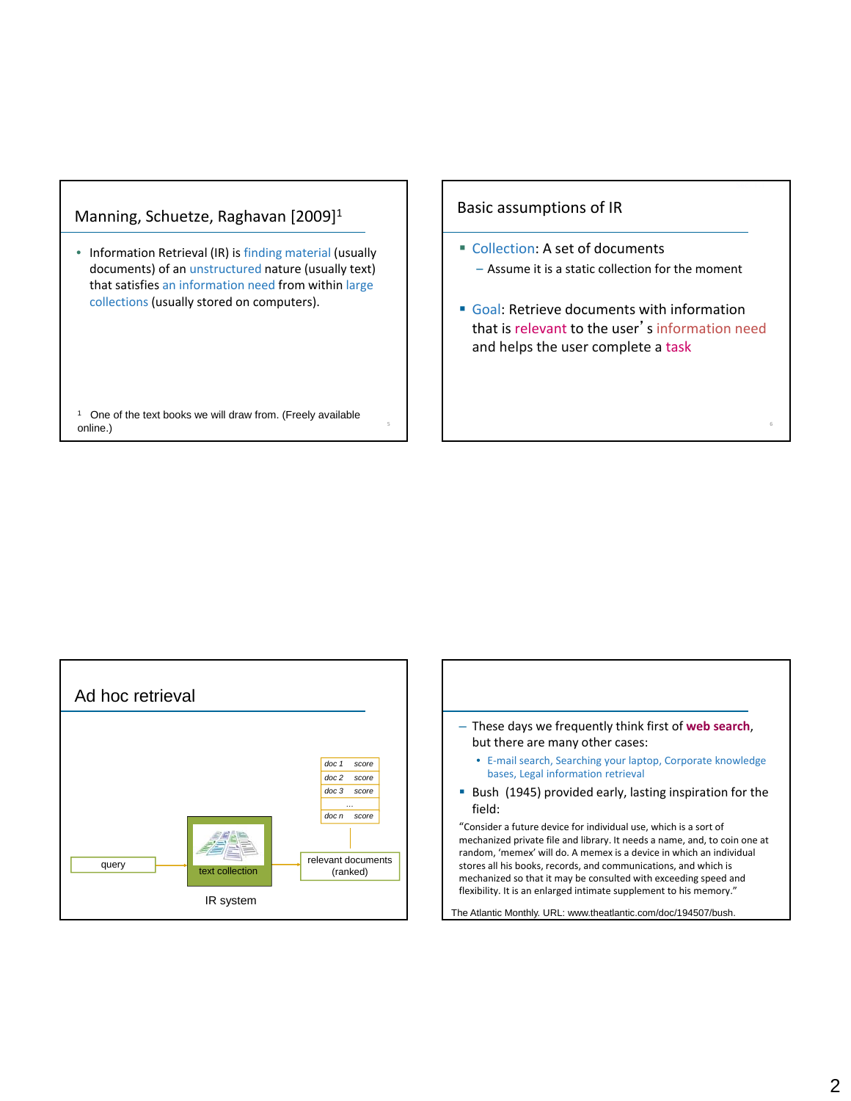## Manning, Schuetze, Raghavan [2009]1

• Information Retrieval (IR) is finding material (usually documents) of an unstructured nature (usually text) that satisfies an information need from within large collections (usually stored on computers).

<sup>1</sup> One of the text books we will draw from. (Freely available online.)

#### Basic assumptions of IR

- Collection: A set of documents – Assume it is a static collection for the moment
- Goal: Retrieve documents with information that is relevant to the user's information need and helps the user complete a task

6



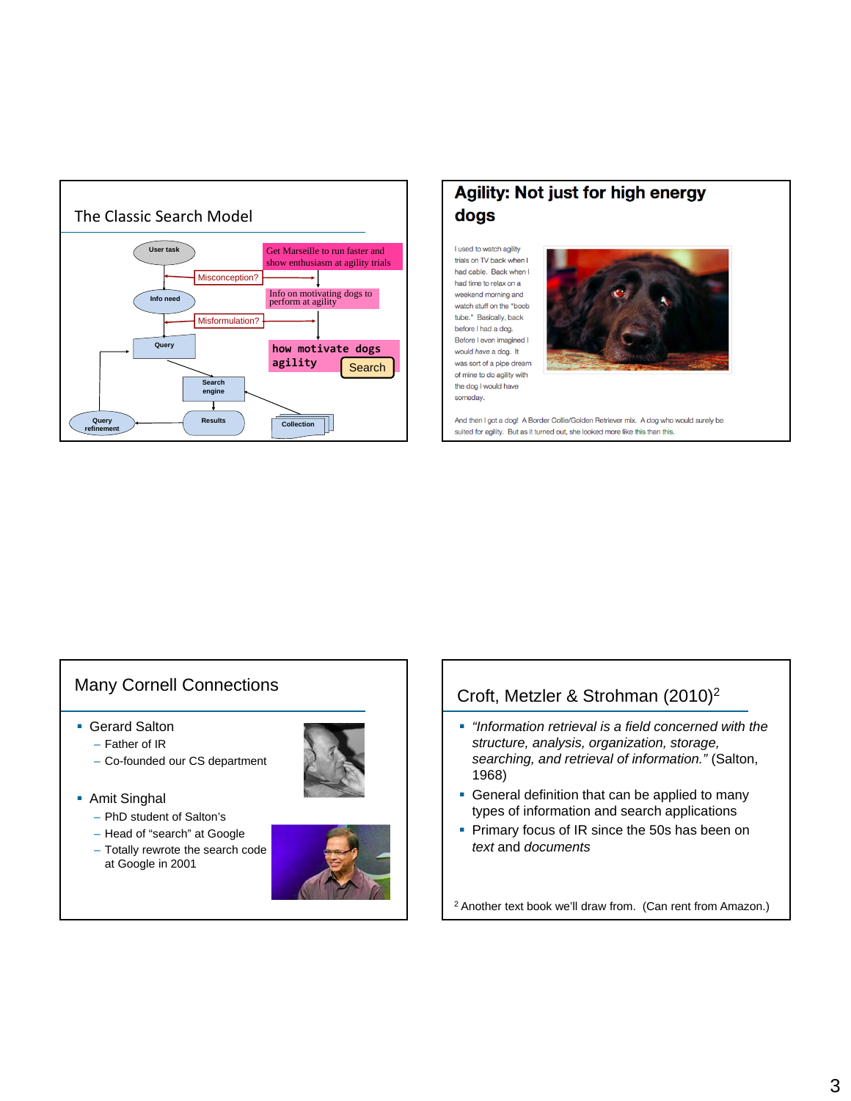

# **Agility: Not just for high energy** dogs

I used to watch agility trials on TV back when I had cable. Back when I had time to relax on a weekend morning and watch stuff on the "boob tube." Basically, back before I had a dog. Before I even imagined I would have a dog. It was sort of a pipe dream of mine to do agility with the dog I would have someday.



And then I got a dog! A Border Collie/Golden Retriever mix. A dog who would surely be suited for agility. But as it turned out, she looked more like this than this.

# Many Cornell Connections

- Gerard Salton
	- Father of IR
	- Co-founded our CS department
- Amit Singhal
	- PhD student of Salton's
	- Head of "search" at Google
	- Totally rewrote the search code at Google in 2001



# Croft, Metzler & Strohman (2010)2

- *"Information retrieval is a field concerned with the structure, analysis, organization, storage, searching, and retrieval of information."* (Salton, 1968)
- **General definition that can be applied to many** types of information and search applications
- **Primary focus of IR since the 50s has been on** *text* and *documents*

<sup>2</sup> Another text book we'll draw from. (Can rent from Amazon.)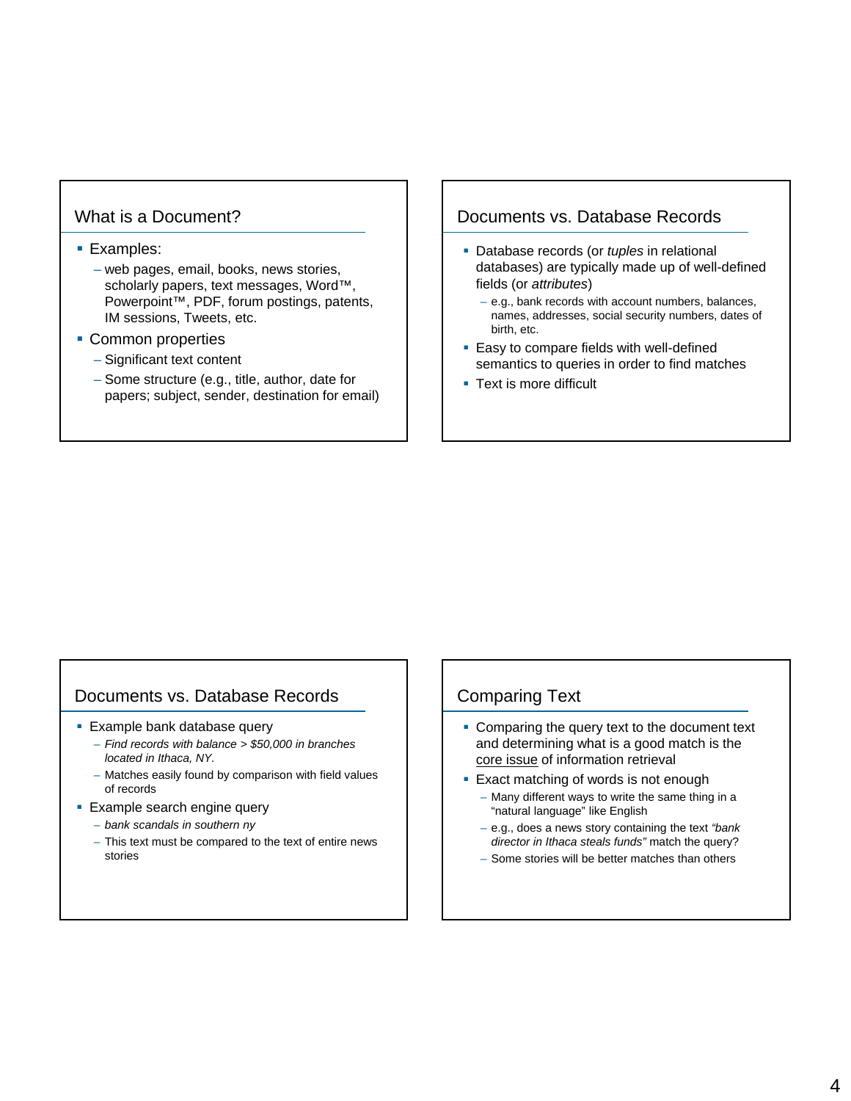## What is a Document?

#### **Examples:**

- web pages, email, books, news stories, scholarly papers, text messages, Word™, Powerpoint™, PDF, forum postings, patents, IM sessions, Tweets, etc.
- Common properties
	- Significant text content
	- Some structure (e.g., title, author, date for papers; subject, sender, destination for email)

#### Documents vs. Database Records

- Database records (or *tuples* in relational databases) are typically made up of well-defined fields (or *attributes*)
	- e.g., bank records with account numbers, balances, names, addresses, social security numbers, dates of birth, etc.
- **Easy to compare fields with well-defined** semantics to queries in order to find matches
- **Text is more difficult**

# Documents vs. Database Records

- **Example bank database query** 
	- *Find records with balance > \$50,000 in branches located in Ithaca, NY.*
	- Matches easily found by comparison with field values of records
- **Example search engine query** 
	- *bank scandals in southern ny*
	- This text must be compared to the text of entire news stories

## Comparing Text

- **Comparing the query text to the document text** and determining what is a good match is the core issue of information retrieval
- **Exact matching of words is not enough** 
	- Many different ways to write the same thing in a "natural language" like English
	- e.g., does a news story containing the text *"bank director in Ithaca steals funds"* match the query?
	- Some stories will be better matches than others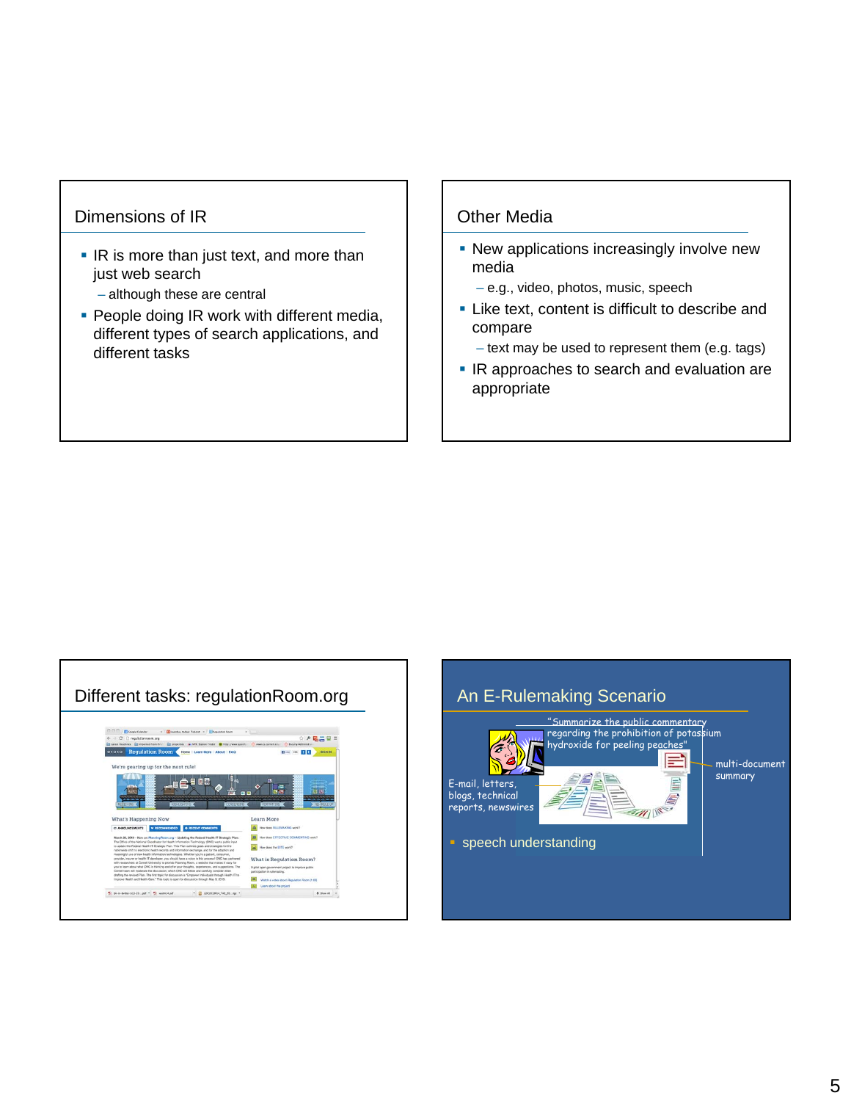## Dimensions of IR

- **IR is more than just text, and more than** just web search
	- although these are central
- **People doing IR work with different media,** different types of search applications, and different tasks

## Other Media

- **-** New applications increasingly involve new media
	- e.g., video, photos, music, speech
- **EXECUTE:** Like text, content is difficult to describe and compare
	- text may be used to represent them (e.g. tags)
- IR approaches to search and evaluation are appropriate



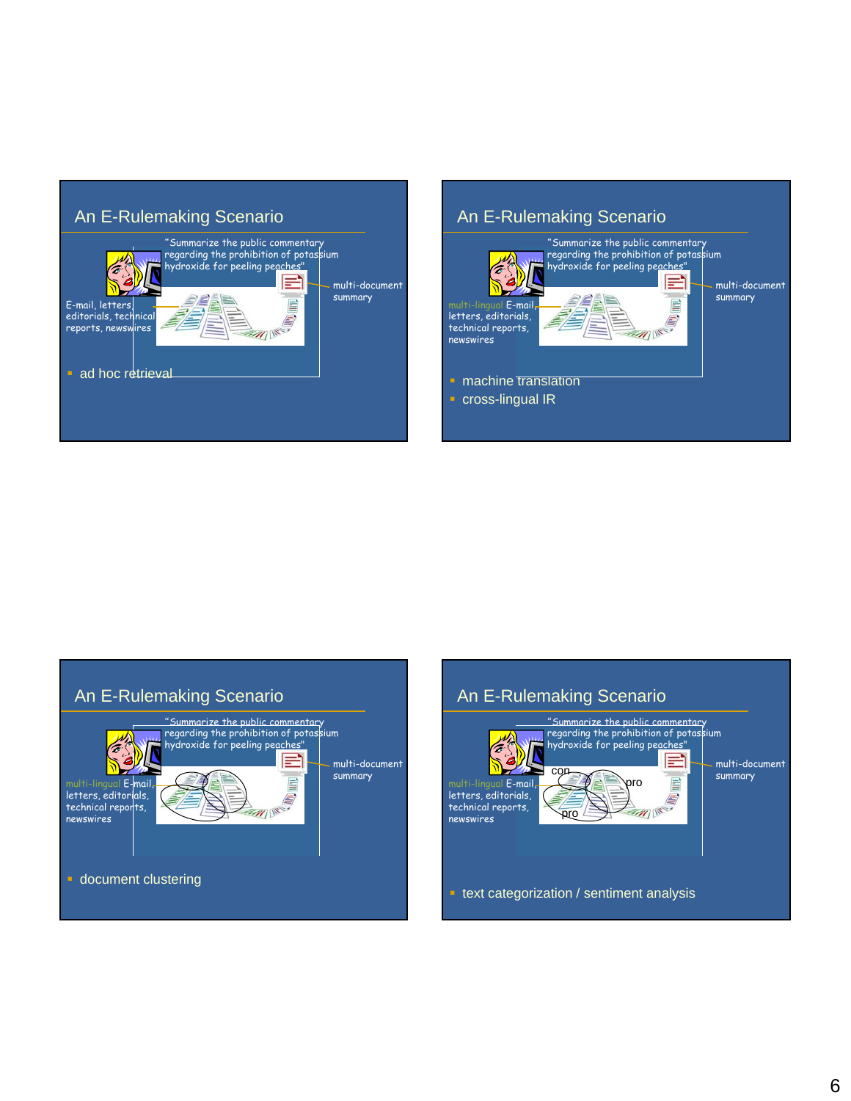

# An E-Rulemaking Scenario





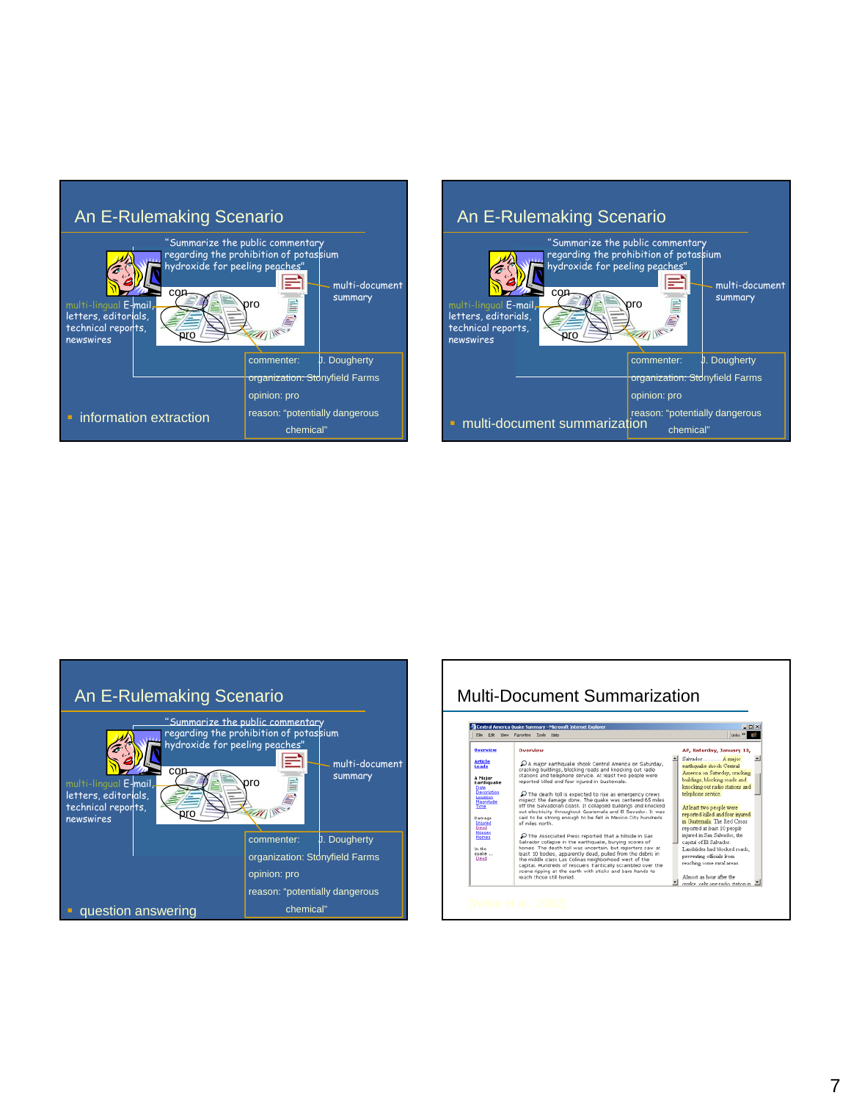

#### An E-Rulemaking Scenario "Summarize the public commentary regarding the prohibition of potassium MÀ hydroxide for peeling peaches' ℶ E multi-document con summary multi-lingual E-mail, pro Ë  $\overline{C}$ letters, editorials, technical reports, pro newswires commenter: **J. Dougherty** organization: Stonyfield Farms opinion: pro reason: "potentially dangerous • multi-document summarization chemical"



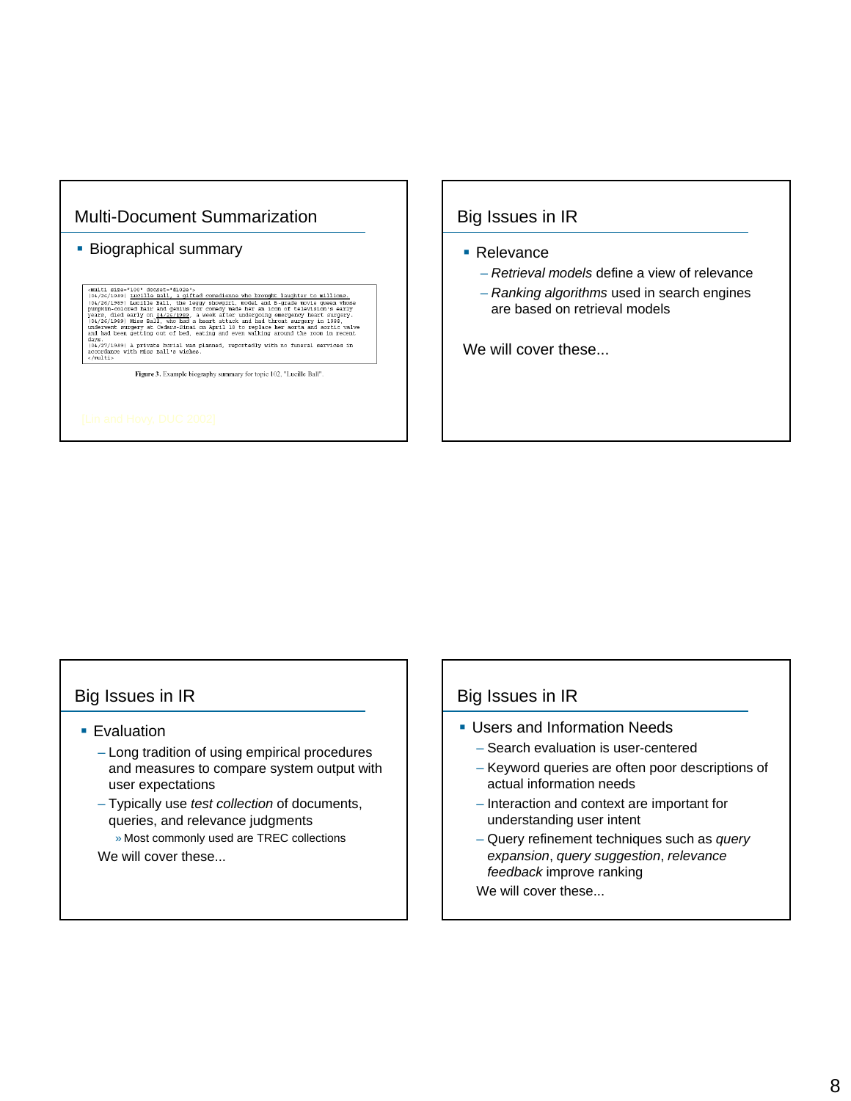# Multi-Document Summarization

#### **Biographical summary**

cmulti size="100" doczett"d102e";<br>(04/26/1989) <u>Lucille Ball, a gifted comedienne who brought laughter to milions.</u><br>(04/26/1989) <u>Lucille Ball, the leggy showgirl, wodel and B-grade movie queen whose<br>pumplin-colored hair </u>

Figure 3. Example biography summary for topic 102, "Lucille Ball".

#### Big Issues in IR

- Relevance
	- *Retrieval models* define a view of relevance
	- *Ranking algorithms* used in search engines are based on retrieval models

We will cover these...

#### Big Issues in IR

- **Evaluation** 
	- Long tradition of using empirical procedures and measures to compare system output with user expectations
	- Typically use *test collection* of documents, queries, and relevance judgments

» Most commonly used are TREC collections We will cover these...

#### Big Issues in IR

- **Users and Information Needs** 
	- Search evaluation is user-centered
	- Keyword queries are often poor descriptions of actual information needs
	- Interaction and context are important for understanding user intent
	- Query refinement techniques such as *query expansion*, *query suggestion*, *relevance feedback* improve ranking
	- We will cover these...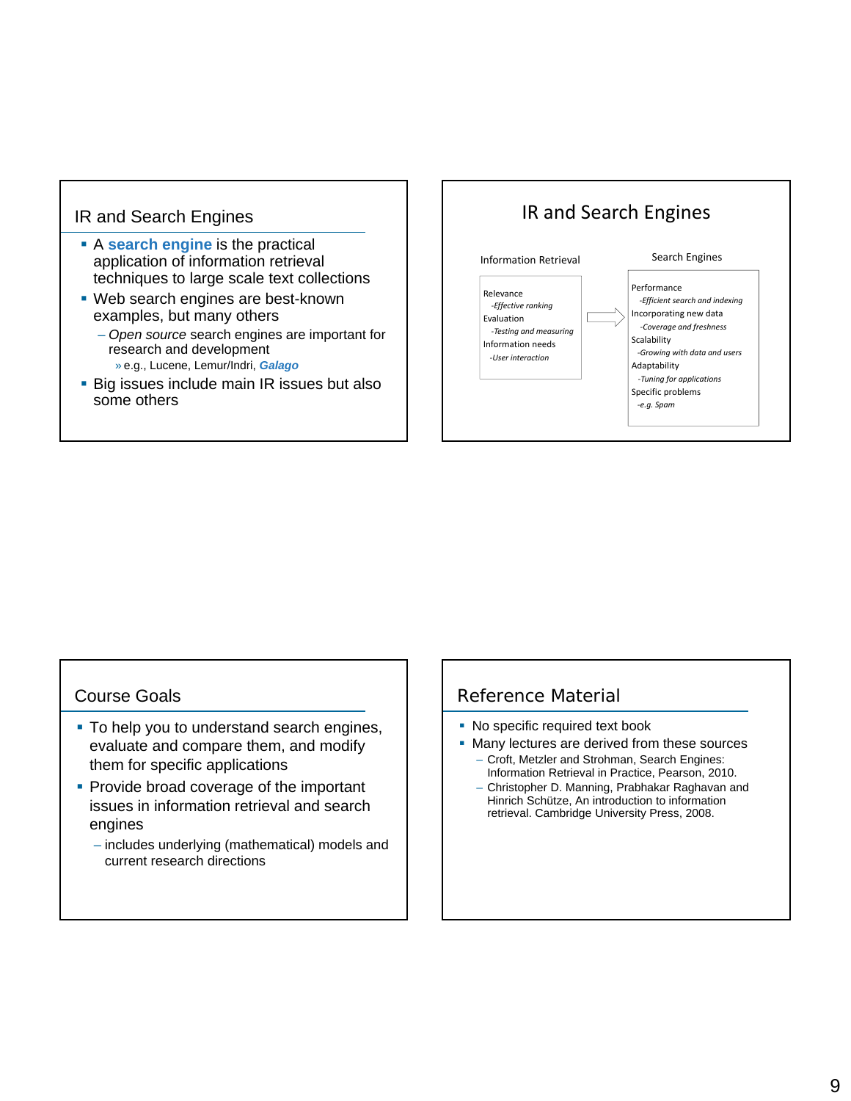## IR and Search Engines

- A **search engine** is the practical application of information retrieval techniques to large scale text collections
- Web search engines are best-known examples, but many others
	- *Open source* search engines are important for research and development » e.g., Lucene, Lemur/Indri, *Galago*
- **Big issues include main IR issues but also** some others



#### Course Goals

- To help you to understand search engines, evaluate and compare them, and modify them for specific applications
- **Provide broad coverage of the important** issues in information retrieval and search engines
	- includes underlying (mathematical) models and current research directions

#### Reference Material

- No specific required text book
- Many lectures are derived from these sources – Croft, Metzler and Strohman, Search Engines:
	- Information Retrieval in Practice, Pearson, 2010. – Christopher D. Manning, Prabhakar Raghavan and Hinrich Schütze, An introduction to information
		- retrieval. Cambridge University Press, 2008.